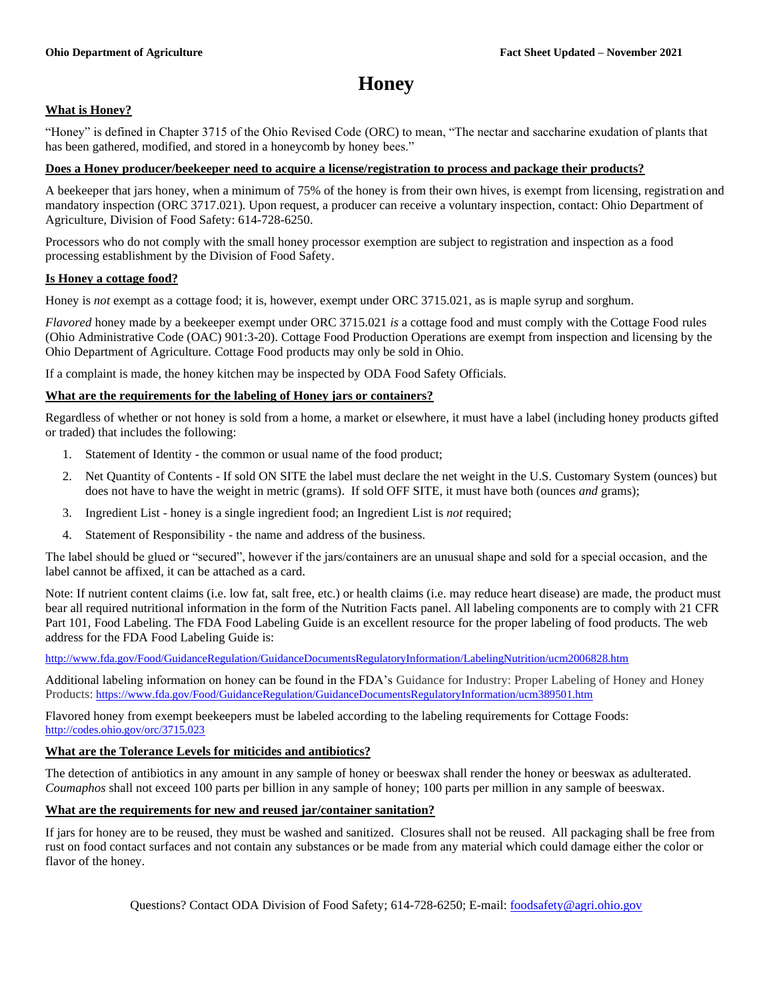# **Honey**

# **What is Honey?**

"Honey" is defined in Chapter 3715 of the Ohio Revised Code (ORC) to mean, "The nectar and saccharine exudation of plants that has been gathered, modified, and stored in a honeycomb by honey bees."

#### **Does a Honey producer/beekeeper need to acquire a license/registration to process and package their products?**

A beekeeper that jars honey, when a minimum of 75% of the honey is from their own hives, is exempt from licensing, registration and mandatory inspection (ORC 3717.021). Upon request, a producer can receive a voluntary inspection, contact: Ohio Department of Agriculture, Division of Food Safety: 614-728-6250.

Processors who do not comply with the small honey processor exemption are subject to registration and inspection as a food processing establishment by the Division of Food Safety.

#### **Is Honey a cottage food?**

Honey is *not* exempt as a cottage food; it is, however, exempt under ORC 3715.021, as is maple syrup and sorghum.

*Flavored* honey made by a beekeeper exempt under ORC 3715.021 *is* a cottage food and must comply with the Cottage Food rules (Ohio Administrative Code (OAC) 901:3-20). Cottage Food Production Operations are exempt from inspection and licensing by the Ohio Department of Agriculture. Cottage Food products may only be sold in Ohio.

If a complaint is made, the honey kitchen may be inspected by ODA Food Safety Officials.

#### **What are the requirements for the labeling of Honey jars or containers?**

Regardless of whether or not honey is sold from a home, a market or elsewhere, it must have a label (including honey products gifted or traded) that includes the following:

- 1. Statement of Identity the common or usual name of the food product;
- 2. Net Quantity of Contents If sold ON SITE the label must declare the net weight in the U.S. Customary System (ounces) but does not have to have the weight in metric (grams). If sold OFF SITE, it must have both (ounces *and* grams);
- 3. Ingredient List honey is a single ingredient food; an Ingredient List is *not* required;
- 4. Statement of Responsibility the name and address of the business.

The label should be glued or "secured", however if the jars/containers are an unusual shape and sold for a special occasion, and the label cannot be affixed, it can be attached as a card.

Note: If nutrient content claims (i.e. low fat, salt free, etc.) or health claims (i.e. may reduce heart disease) are made, the product must bear all required nutritional information in the form of the Nutrition Facts panel. All labeling components are to comply with 21 CFR Part 101, Food Labeling. The FDA Food Labeling Guide is an excellent resource for the proper labeling of food products. The web address for the FDA Food Labeling Guide is:

<http://www.fda.gov/Food/GuidanceRegulation/GuidanceDocumentsRegulatoryInformation/LabelingNutrition/ucm2006828.htm>

Additional labeling information on honey can be found in the FDA's Guidance for Industry: Proper Labeling of Honey and Honey Products: <https://www.fda.gov/Food/GuidanceRegulation/GuidanceDocumentsRegulatoryInformation/ucm389501.htm>

Flavored honey from exempt beekeepers must be labeled according to the labeling requirements for Cottage Foods: <http://codes.ohio.gov/orc/3715.023>

### **What are the Tolerance Levels for miticides and antibiotics?**

The detection of antibiotics in any amount in any sample of honey or beeswax shall render the honey or beeswax as adulterated. *Coumaphos* shall not exceed 100 parts per billion in any sample of honey; 100 parts per million in any sample of beeswax.

## **What are the requirements for new and reused jar/container sanitation?**

If jars for honey are to be reused, they must be washed and sanitized. Closures shall not be reused. All packaging shall be free from rust on food contact surfaces and not contain any substances or be made from any material which could damage either the color or flavor of the honey.

Questions? Contact ODA Division of Food Safety; 614-728-6250; E-mail: [foodsafety@agri.ohio.gov](mailto:foodsafety@agri.ohio.gov)